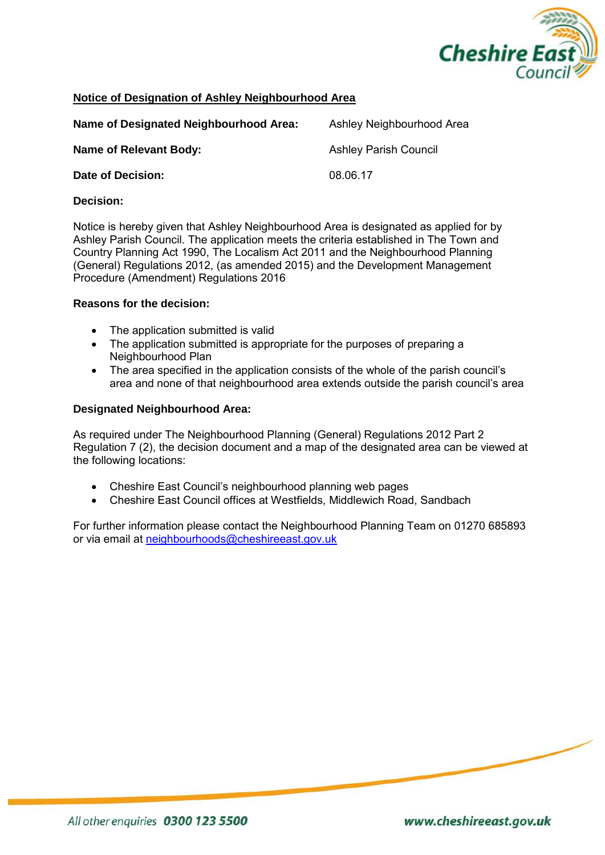

## **Notice of Designation of Ashley Neighbourhood Area**

| Name of Designated Neighbourhood Area: | Ashley Neighbourhood Area    |
|----------------------------------------|------------------------------|
| Name of Relevant Body:                 | <b>Ashley Parish Council</b> |
| Date of Decision:                      | 08.06.17                     |

## **Decision:**

Notice is hereby given that Ashley Neighbourhood Area is designated as applied for by Ashley Parish Council. The application meets the criteria established in The Town and Country Planning Act 1990, The Localism Act 2011 and the Neighbourhood Planning (General) Regulations 2012, (as amended 2015) and the Development Management Procedure (Amendment) Regulations 2016

## **Reasons for the decision:**

- The application submitted is valid
- The application submitted is appropriate for the purposes of preparing a Neighbourhood Plan
- The area specified in the application consists of the whole of the parish council's area and none of that neighbourhood area extends outside the parish council's area

## **Designated Neighbourhood Area:**

As required under The Neighbourhood Planning (General) Regulations 2012 Part 2 Regulation 7 (2), the decision document and a map of the designated area can be viewed at the following locations:

- Cheshire East Council's neighbourhood planning web pages
- Cheshire East Council offices at Westfields, Middlewich Road, Sandbach

For further information please contact the Neighbourhood Planning Team on 01270 685893 or via email at [neighbourhoods@cheshireeast.gov.uk](mailto:neighbourhoods@cheshireeast.gov.uk)

www.cheshireeast.gov.uk